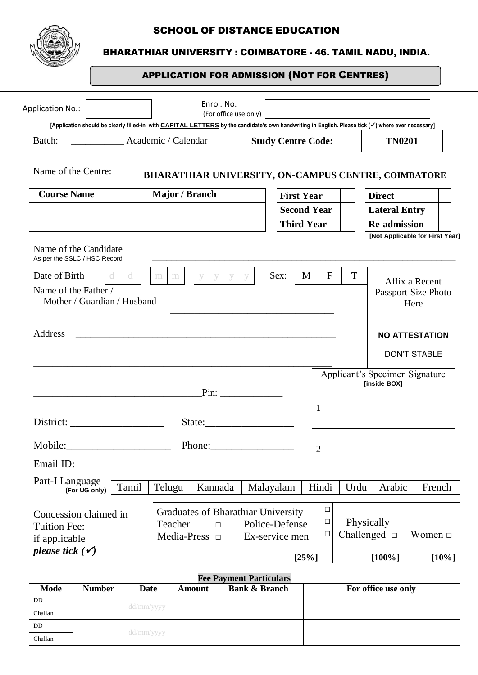

## SCHOOL OF DISTANCE EDUCATION

## BHARATHIAR UNIVERSITY : COIMBATORE - 46. TAMIL NADU, INDIA.

## APPLICATION FOR ADMISSION (NOT FOR CENTRES)

| <b>Application No.:</b>                                                                                                                                             |                     |                                  | Enrol. No.<br>(For office use only)                        |                                  |                |                  |            |                                 |                     |              |
|---------------------------------------------------------------------------------------------------------------------------------------------------------------------|---------------------|----------------------------------|------------------------------------------------------------|----------------------------------|----------------|------------------|------------|---------------------------------|---------------------|--------------|
| [Application should be clearly filled-in with <b>CAPITAL LETTERS</b> by the candidate's own handwriting in English. Please tick (v) where ever necessary]<br>Batch: | Academic / Calendar |                                  |                                                            | <b>Study Centre Code:</b>        |                |                  |            | <b>TN0201</b>                   |                     |              |
| Name of the Centre:                                                                                                                                                 |                     |                                  | <b>BHARATHIAR UNIVERSITY, ON-CAMPUS CENTRE, COIMBATORE</b> |                                  |                |                  |            |                                 |                     |              |
| <b>Course Name</b>                                                                                                                                                  |                     | Major / Branch                   |                                                            | <b>First Year</b>                |                |                  |            | <b>Direct</b>                   |                     |              |
|                                                                                                                                                                     |                     |                                  |                                                            | <b>Second Year</b>               |                |                  |            | <b>Lateral Entry</b>            |                     |              |
|                                                                                                                                                                     |                     |                                  |                                                            | <b>Third Year</b>                |                |                  |            | <b>Re-admission</b>             |                     |              |
| Name of the Candidate<br>As per the SSLC / HSC Record                                                                                                               |                     |                                  |                                                            |                                  |                |                  |            | [Not Applicable for First Year] |                     |              |
| Date of Birth                                                                                                                                                       | d.<br>d.            | m<br>m                           | y<br><b>y</b><br>y                                         | Sex:                             | M              | $\mathbf{F}$     | T          |                                 | Affix a Recent      |              |
| Name of the Father /                                                                                                                                                |                     |                                  |                                                            |                                  |                |                  |            |                                 | Passport Size Photo |              |
| Mother / Guardian / Husband                                                                                                                                         |                     |                                  |                                                            |                                  |                |                  |            |                                 | Here                |              |
|                                                                                                                                                                     |                     |                                  |                                                            |                                  |                |                  |            |                                 |                     |              |
| Address                                                                                                                                                             |                     |                                  |                                                            |                                  |                |                  |            | <b>NO ATTESTATION</b>           |                     |              |
|                                                                                                                                                                     |                     |                                  |                                                            |                                  |                |                  |            |                                 | <b>DON'T STABLE</b> |              |
|                                                                                                                                                                     |                     |                                  |                                                            |                                  |                |                  |            | Applicant's Specimen Signature  |                     |              |
|                                                                                                                                                                     |                     |                                  | $Pin:$ 2008.                                               |                                  |                |                  |            | [inside BOX]                    |                     |              |
|                                                                                                                                                                     |                     |                                  |                                                            |                                  | $\mathbf{1}$   |                  |            |                                 |                     |              |
|                                                                                                                                                                     |                     |                                  |                                                            |                                  |                |                  |            |                                 |                     |              |
|                                                                                                                                                                     |                     |                                  |                                                            |                                  |                |                  |            |                                 |                     |              |
| Email ID:                                                                                                                                                           |                     |                                  |                                                            |                                  | $\overline{2}$ |                  |            |                                 |                     |              |
| Part-I Language                                                                                                                                                     | Tamil               | Telugu                           | Kannada                                                    | Malayalam                        |                | Hindi            | Urdu       | Arabic                          |                     | French       |
| (For UG only)                                                                                                                                                       |                     |                                  |                                                            |                                  |                |                  |            |                                 |                     |              |
| Concession claimed in                                                                                                                                               |                     |                                  | <b>Graduates of Bharathiar University</b>                  |                                  |                | $\Box$           |            |                                 |                     |              |
| <b>Tuition Fee:</b>                                                                                                                                                 |                     | Teacher<br>Media-Press $\square$ | П                                                          | Police-Defense<br>Ex-service men |                | $\Box$<br>$\Box$ | Physically | Challenged $\Box$               |                     | Women $\Box$ |
| if applicable<br>please tick $(\check{\mathbf{v}})$                                                                                                                 |                     |                                  |                                                            |                                  |                |                  |            |                                 |                     |              |
|                                                                                                                                                                     |                     |                                  |                                                            |                                  | [25%]          |                  |            | $[100\%]$                       |                     | $[10\%]$     |

| <b>Fee Payment Particulars</b> |  |      |            |                          |                     |  |  |  |  |
|--------------------------------|--|------|------------|--------------------------|---------------------|--|--|--|--|
| Mode<br><b>Number</b>          |  | Date | Amount     | <b>Bank &amp; Branch</b> | For office use only |  |  |  |  |
| DD                             |  |      |            |                          |                     |  |  |  |  |
| Challan                        |  |      | dd/mm/yyyy |                          |                     |  |  |  |  |
| DD.                            |  |      |            |                          |                     |  |  |  |  |
| Challan                        |  |      | dd/mm/yyyy |                          |                     |  |  |  |  |